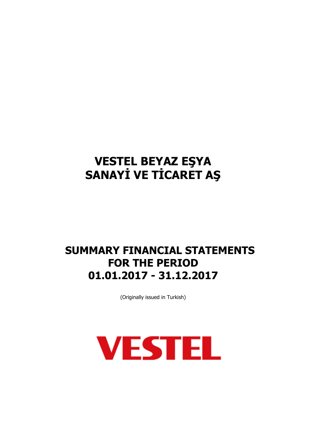# **SUMMARY FINANCIAL STATEMENTS FOR THE PERIOD 01.01.2017 - 31.12.2017**

(Originally issued in Turkish)

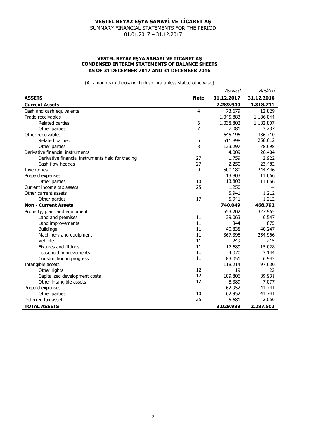SUMMARY FINANCIAL STATEMENTS FOR THE PERIOD 01.01.2017 – 31.12.2017

### **VESTEL BEYAZ EŞYA SANAYİ VE TİCARET AŞ CONDENSED INTERIM STATEMENTS OF BALANCE SHEETS AS OF 31 DECEMBER 2017 AND 31 DECEMBER 2016**

|                                                   |             | Audited    | Audited    |
|---------------------------------------------------|-------------|------------|------------|
| <b>ASSETS</b>                                     | <b>Note</b> | 31.12.2017 | 31.12.2016 |
| <b>Current Assets</b>                             |             | 2.289.940  | 1.818.711  |
| Cash and cash equivalents                         | 4           | 73.679     | 12.829     |
| Trade receivables                                 |             | 1.045.883  | 1.186.044  |
| Related parties                                   | 6           | 1.038.802  | 1.182.807  |
| Other parties                                     | 7           | 7.081      | 3.237      |
| Other receivables                                 |             | 645.195    | 336.710    |
| Related parties                                   | 6           | 511.898    | 258.612    |
| Other parties                                     | 8           | 133.297    | 78.098     |
| Derivative financial instruments                  |             | 4.009      | 26.404     |
| Derivative financial instruments held for trading | 27          | 1.759      | 2.922      |
| Cash flow hedges                                  | 27          | 2.250      | 23.482     |
| <b>Inventories</b>                                | 9           | 500.180    | 244.446    |
| Prepaid expenses                                  |             | 13.803     | 11.066     |
| Other parties                                     | 10          | 13.803     | 11.066     |
| Current income tax assets                         | 25          | 1.250      |            |
| Other current assets                              |             | 5.941      | 1.212      |
| Other parties                                     | 17          | 5.941      | 1.212      |
| <b>Non - Current Assets</b>                       |             | 740.049    | 468.792    |
| Property, plant and equipment                     |             | 553.202    | 327.965    |
| Land and premises                                 | 11          | 39.063     | 6.547      |
| Land improvements                                 | 11          | 844        | 875        |
| <b>Buildings</b>                                  | 11          | 40.838     | 40.247     |
| Machinery and equipment                           | 11          | 367.398    | 254.966    |
| Vehicles                                          | 11          | 249        | 215        |
| Fixtures and fittings                             | 11          | 17.689     | 15.028     |
| Leasehold improvements                            | 11          | 4.070      | 3.144      |
| Construction in progress                          | 11          | 83.051     | 6.943      |
| Intangible assets                                 |             | 118.214    | 97.030     |
| Other rights                                      | 12          | 19         | 22         |
| Capitalized development costs                     | 12          | 109.806    | 89.931     |
| Other intangible assets                           | 12          | 8.389      | 7.077      |
| Prepaid expenses                                  |             | 62.952     | 41.741     |
| Other parties                                     | 10          | 62.952     | 41.741     |
| Deferred tax asset                                | 25          | 5.681      | 2.056      |
| <b>TOTAL ASSETS</b>                               |             | 3.029.989  | 2.287.503  |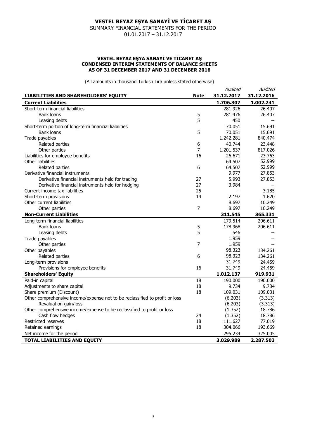SUMMARY FINANCIAL STATEMENTS FOR THE PERIOD 01.01.2017 – 31.12.2017

### **VESTEL BEYAZ EŞYA SANAYİ VE TİCARET AŞ CONDENSED INTERIM STATEMENTS OF BALANCE SHEETS AS OF 31 DECEMBER 2017 AND 31 DECEMBER 2016**

|                                                                             |                | Audited    | Audited    |
|-----------------------------------------------------------------------------|----------------|------------|------------|
| LIABILITIES AND SHAREHOLDERS' EQUITY                                        | <b>Note</b>    | 31.12.2017 | 31.12.2016 |
| <b>Current Liabilities</b>                                                  |                | 1.706.307  | 1.002.241  |
| Short-term financial liabilities                                            |                | 281.926    | 26,407     |
| <b>Bank loans</b>                                                           | 5              | 281.476    | 26.407     |
| Leasing debts                                                               | 5              | 450        |            |
| Short-term portion of long-term financial liabilities                       |                | 70.051     | 15.691     |
| <b>Bank loans</b>                                                           | 5              | 70.051     | 15.691     |
| Trade payables                                                              |                | 1.242.281  | 840.474    |
| Related parties                                                             | 6              | 40.744     | 23.448     |
| Other parties                                                               | 7              | 1.201.537  | 817.026    |
| Liabilities for employee benefits                                           | 16             | 26.671     | 23.763     |
| Other liabilities                                                           |                | 64.507     | 52.999     |
| Related parties                                                             | 6              | 64.507     | 52.999     |
| Derivative financial instruments                                            |                | 9.977      | 27,853     |
| Derivative financial instruments held for trading                           | 27             | 5.993      | 27.853     |
| Derivative financial instruments held for hedging                           | 27             | 3.984      |            |
| Current income tax liabilities                                              | 25             | $-\, -$    | 3.185      |
| Short-term provisions                                                       | 14             | 2.197      | 1.620      |
| Other current liabilities                                                   |                | 8.697      | 10.249     |
| Other parties                                                               | 7              | 8.697      | 10.249     |
| <b>Non-Current Liabilities</b>                                              |                | 311.545    | 365.331    |
| Long-term financial liabilities                                             |                | 179.514    | 206.611    |
| <b>Bank loans</b>                                                           | 5              | 178.968    | 206.611    |
| Leasing debts                                                               | 5              | 546        |            |
| Trade payables                                                              |                | 1.959      |            |
| Other parties                                                               | $\overline{7}$ | 1.959      |            |
| Other payables                                                              |                | 98.323     | 134.261    |
| Related parties                                                             | 6              | 98.323     | 134.261    |
| Long-term provisions                                                        |                | 31.749     | 24.459     |
| Provisions for employee benefits                                            | 16             | 31.749     | 24.459     |
| <b>Shareholders' Equity</b>                                                 |                | 1.012.137  | 919.931    |
| Paid-in capital                                                             | 18             | 190.000    | 190.000    |
| Adjustments to share capital                                                | 18             | 9.734      | 9.734      |
| Share premium (Discount)                                                    | 18             | 109.031    | 109.031    |
| Other comprehensive income/expense not to be reclassified to profit or loss |                | (6.203)    | (3.313)    |
| Revaluation gain/loss                                                       |                | (6.203)    | (3.313)    |
| Other comprehensive income/expense to be reclassified to profit or loss     |                | (1.352)    | 18.786     |
| Cash flow hedges                                                            | 24             | (1.352)    | 18.786     |
| Restricted reserves                                                         | 18             | 111.627    | 77.019     |
| Retained earnings                                                           | 18             | 304.066    | 193.669    |
| Net income for the period                                                   |                | 295.234    | 325.005    |
| <b>TOTAL LIABILITIES AND EQUITY</b>                                         |                | 3.029.989  | 2.287.503  |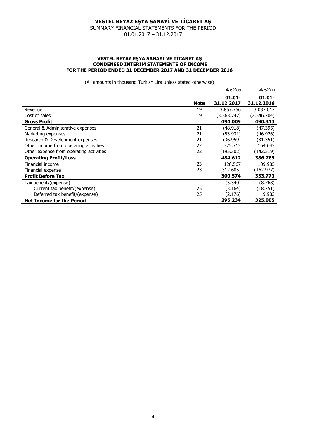SUMMARY FINANCIAL STATEMENTS FOR THE PERIOD 01.01.2017 – 31.12.2017

### **VESTEL BEYAZ EŞYA SANAYİ VE TİCARET AŞ CONDENSED INTERIM STATEMENTS OF INCOME FOR THE PERIOD ENDED 31 DECEMBER 2017 AND 31 DECEMBER 2016**

|                                         |             | Audited                 | Audited                 |
|-----------------------------------------|-------------|-------------------------|-------------------------|
|                                         | <b>Note</b> | $01.01 -$<br>31.12.2017 | $01.01 -$<br>31.12.2016 |
| Revenue                                 | 19          | 3.857.756               | 3.037.017               |
| Cost of sales                           | 19          | (3.363.747)             | (2.546.704)             |
| <b>Gross Profit</b>                     |             | 494.009                 | 490.313                 |
| General & Administrative expenses       | 21          | (48.918)                | (47.395)                |
| Marketing expenses                      | 21          | (53.931)                | (46.926)                |
| Research & Development expenses         | 21          | (36.959)                | (31.351)                |
| Other income from operating activities  | 22          | 325,713                 | 164.643                 |
| Other expense from operating activities | 22          | (195.302)               | (142.519)               |
| <b>Operating Profit/Loss</b>            |             | 484.612                 | 386.765                 |
| Financial income                        | 23          | 128.567                 | 109.985                 |
| Financial expense                       | 23          | (312.605)               | (162.977)               |
| <b>Profit Before Tax</b>                |             | 300.574                 | 333.773                 |
| Tax benefit/(expense)                   |             | (5.340)                 | (8.768)                 |
| Current tax benefit/(expense)           | 25          | (3.164)                 | (18.751)                |
| Deferred tax benefit/(expense)          | 25          | (2.176)                 | 9.983                   |
| <b>Net Income for the Period</b>        |             | 295.234                 | 325.005                 |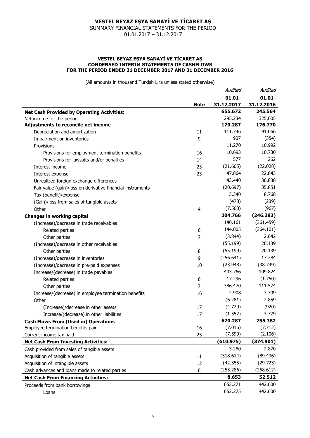SUMMARY FINANCIAL STATEMENTS FOR THE PERIOD 01.01.2017 – 31.12.2017

#### **VESTEL BEYAZ EŞYA SANAYİ VE TİCARET AŞ CONDENSED INTERIM STATEMENTS OF CASHFLOWS FOR THE PERIOD ENDED 31 DECEMBER 2017 AND 31 DECEMBER 2016**

| $01.01 -$<br>$01.01 -$<br>31.12.2017<br>31.12.2016<br><b>Note</b><br>655.672<br>245.564<br><b>Net Cash Provided by Operating Activities:</b><br>325.005<br>295.234<br>Net income for the period<br>Adjustments to reconcile net income<br>170.287<br>176.770<br>111.746<br>91.066<br>11<br>Depreciation and amortization<br>907<br>(354)<br>9<br>Impairment on inventories<br>11.270<br>10.992<br>Provisions<br>10.730<br>10.693<br>16<br>Provisions for employment termination benefits<br>577<br>262<br>14<br>Provisions for lawsuits and/or penalties<br>(22.028)<br>(21.605)<br>Interest income<br>23<br>47.864<br>22.843<br>23<br>Interest expense<br>43.440<br>30.838<br>Unrealized foreign exchange differences<br>(20.697)<br>35.851<br>Fair value (gain)/loss on derivative financial instruments<br>5.340<br>8.768<br>Tax (benefit)/expense<br>(478)<br>(239)<br>(Gain)/loss from sales of tangible assets<br>(967)<br>(7.500)<br>Other<br>4<br>204.766<br>(246.393)<br><b>Changes in working capital</b><br>(361.459)<br>140.161<br>(Increase)/decrease in trade receivables<br>(364.101)<br>144.005<br>Related parties<br>6<br>2.642<br>(3.844)<br>Other parties<br>7<br>(55.199)<br>20.139<br>(Increase)/decrease in other receivables<br>20.139<br>(55.199)<br>Other parties<br>8<br>17.284<br>(256.641)<br>9<br>(Increase)/decrease in inventories<br>(38.749)<br>(23.948)<br>10<br>(Increase)/decrease in pre-paid expenses<br>403.766<br>109.824<br>Increase/(decrease) in trade payables<br>(1.750)<br>17.296<br>Related parties<br>6<br>111.574<br>386.470<br>7<br>Other parties<br>2.908<br>3.709<br>16<br>Increase/(decrease) in employee termination benefits<br>2.859<br>(6.281)<br>Other<br>(4.729)<br>(920)<br>(Increase)/decrease in other assets<br>17<br>3.779<br>(1.552)<br>17<br>Increase/(decrease) in other liabilities<br>670.287<br>255.382<br><b>Cash Flows From (Used in) Operations</b><br>(7.016)<br>(7.712)<br>16<br>Employee termination benefits paid<br>(7.599)<br>(2.106)<br>25<br>Current income tax paid<br>(610.975)<br>(374.901)<br><b>Net Cash From Investing Activities:</b><br>3.280<br>2.870<br>Cash provided from sales of tangible assets<br>(318.614)<br>(89.436)<br>Acquisition of tangible assets<br>11<br>(42.355)<br>(29.723)<br>Acquisition of intangible assets<br>12<br>(253.286)<br>(258.612)<br>Cash advances and loans made to related parties<br>6<br>8.653<br>52.512<br><b>Net Cash From Financing Activities:</b><br>653.271<br>442.600<br>Proceeds from bank borrowings |       | Audited | Audited |
|---------------------------------------------------------------------------------------------------------------------------------------------------------------------------------------------------------------------------------------------------------------------------------------------------------------------------------------------------------------------------------------------------------------------------------------------------------------------------------------------------------------------------------------------------------------------------------------------------------------------------------------------------------------------------------------------------------------------------------------------------------------------------------------------------------------------------------------------------------------------------------------------------------------------------------------------------------------------------------------------------------------------------------------------------------------------------------------------------------------------------------------------------------------------------------------------------------------------------------------------------------------------------------------------------------------------------------------------------------------------------------------------------------------------------------------------------------------------------------------------------------------------------------------------------------------------------------------------------------------------------------------------------------------------------------------------------------------------------------------------------------------------------------------------------------------------------------------------------------------------------------------------------------------------------------------------------------------------------------------------------------------------------------------------------------------------------------------------------------------------------------------------------------------------------------------------------------------------------------------------------------------------------------------------------------------------------------------------------------------------------------------------------------------------------------------------------------------------------------------------------------------------------------------------|-------|---------|---------|
|                                                                                                                                                                                                                                                                                                                                                                                                                                                                                                                                                                                                                                                                                                                                                                                                                                                                                                                                                                                                                                                                                                                                                                                                                                                                                                                                                                                                                                                                                                                                                                                                                                                                                                                                                                                                                                                                                                                                                                                                                                                                                                                                                                                                                                                                                                                                                                                                                                                                                                                                             |       |         |         |
|                                                                                                                                                                                                                                                                                                                                                                                                                                                                                                                                                                                                                                                                                                                                                                                                                                                                                                                                                                                                                                                                                                                                                                                                                                                                                                                                                                                                                                                                                                                                                                                                                                                                                                                                                                                                                                                                                                                                                                                                                                                                                                                                                                                                                                                                                                                                                                                                                                                                                                                                             |       |         |         |
|                                                                                                                                                                                                                                                                                                                                                                                                                                                                                                                                                                                                                                                                                                                                                                                                                                                                                                                                                                                                                                                                                                                                                                                                                                                                                                                                                                                                                                                                                                                                                                                                                                                                                                                                                                                                                                                                                                                                                                                                                                                                                                                                                                                                                                                                                                                                                                                                                                                                                                                                             |       |         |         |
|                                                                                                                                                                                                                                                                                                                                                                                                                                                                                                                                                                                                                                                                                                                                                                                                                                                                                                                                                                                                                                                                                                                                                                                                                                                                                                                                                                                                                                                                                                                                                                                                                                                                                                                                                                                                                                                                                                                                                                                                                                                                                                                                                                                                                                                                                                                                                                                                                                                                                                                                             |       |         |         |
|                                                                                                                                                                                                                                                                                                                                                                                                                                                                                                                                                                                                                                                                                                                                                                                                                                                                                                                                                                                                                                                                                                                                                                                                                                                                                                                                                                                                                                                                                                                                                                                                                                                                                                                                                                                                                                                                                                                                                                                                                                                                                                                                                                                                                                                                                                                                                                                                                                                                                                                                             |       |         |         |
|                                                                                                                                                                                                                                                                                                                                                                                                                                                                                                                                                                                                                                                                                                                                                                                                                                                                                                                                                                                                                                                                                                                                                                                                                                                                                                                                                                                                                                                                                                                                                                                                                                                                                                                                                                                                                                                                                                                                                                                                                                                                                                                                                                                                                                                                                                                                                                                                                                                                                                                                             |       |         |         |
|                                                                                                                                                                                                                                                                                                                                                                                                                                                                                                                                                                                                                                                                                                                                                                                                                                                                                                                                                                                                                                                                                                                                                                                                                                                                                                                                                                                                                                                                                                                                                                                                                                                                                                                                                                                                                                                                                                                                                                                                                                                                                                                                                                                                                                                                                                                                                                                                                                                                                                                                             |       |         |         |
|                                                                                                                                                                                                                                                                                                                                                                                                                                                                                                                                                                                                                                                                                                                                                                                                                                                                                                                                                                                                                                                                                                                                                                                                                                                                                                                                                                                                                                                                                                                                                                                                                                                                                                                                                                                                                                                                                                                                                                                                                                                                                                                                                                                                                                                                                                                                                                                                                                                                                                                                             |       |         |         |
|                                                                                                                                                                                                                                                                                                                                                                                                                                                                                                                                                                                                                                                                                                                                                                                                                                                                                                                                                                                                                                                                                                                                                                                                                                                                                                                                                                                                                                                                                                                                                                                                                                                                                                                                                                                                                                                                                                                                                                                                                                                                                                                                                                                                                                                                                                                                                                                                                                                                                                                                             |       |         |         |
|                                                                                                                                                                                                                                                                                                                                                                                                                                                                                                                                                                                                                                                                                                                                                                                                                                                                                                                                                                                                                                                                                                                                                                                                                                                                                                                                                                                                                                                                                                                                                                                                                                                                                                                                                                                                                                                                                                                                                                                                                                                                                                                                                                                                                                                                                                                                                                                                                                                                                                                                             |       |         |         |
|                                                                                                                                                                                                                                                                                                                                                                                                                                                                                                                                                                                                                                                                                                                                                                                                                                                                                                                                                                                                                                                                                                                                                                                                                                                                                                                                                                                                                                                                                                                                                                                                                                                                                                                                                                                                                                                                                                                                                                                                                                                                                                                                                                                                                                                                                                                                                                                                                                                                                                                                             |       |         |         |
|                                                                                                                                                                                                                                                                                                                                                                                                                                                                                                                                                                                                                                                                                                                                                                                                                                                                                                                                                                                                                                                                                                                                                                                                                                                                                                                                                                                                                                                                                                                                                                                                                                                                                                                                                                                                                                                                                                                                                                                                                                                                                                                                                                                                                                                                                                                                                                                                                                                                                                                                             |       |         |         |
|                                                                                                                                                                                                                                                                                                                                                                                                                                                                                                                                                                                                                                                                                                                                                                                                                                                                                                                                                                                                                                                                                                                                                                                                                                                                                                                                                                                                                                                                                                                                                                                                                                                                                                                                                                                                                                                                                                                                                                                                                                                                                                                                                                                                                                                                                                                                                                                                                                                                                                                                             |       |         |         |
|                                                                                                                                                                                                                                                                                                                                                                                                                                                                                                                                                                                                                                                                                                                                                                                                                                                                                                                                                                                                                                                                                                                                                                                                                                                                                                                                                                                                                                                                                                                                                                                                                                                                                                                                                                                                                                                                                                                                                                                                                                                                                                                                                                                                                                                                                                                                                                                                                                                                                                                                             |       |         |         |
|                                                                                                                                                                                                                                                                                                                                                                                                                                                                                                                                                                                                                                                                                                                                                                                                                                                                                                                                                                                                                                                                                                                                                                                                                                                                                                                                                                                                                                                                                                                                                                                                                                                                                                                                                                                                                                                                                                                                                                                                                                                                                                                                                                                                                                                                                                                                                                                                                                                                                                                                             |       |         |         |
|                                                                                                                                                                                                                                                                                                                                                                                                                                                                                                                                                                                                                                                                                                                                                                                                                                                                                                                                                                                                                                                                                                                                                                                                                                                                                                                                                                                                                                                                                                                                                                                                                                                                                                                                                                                                                                                                                                                                                                                                                                                                                                                                                                                                                                                                                                                                                                                                                                                                                                                                             |       |         |         |
|                                                                                                                                                                                                                                                                                                                                                                                                                                                                                                                                                                                                                                                                                                                                                                                                                                                                                                                                                                                                                                                                                                                                                                                                                                                                                                                                                                                                                                                                                                                                                                                                                                                                                                                                                                                                                                                                                                                                                                                                                                                                                                                                                                                                                                                                                                                                                                                                                                                                                                                                             |       |         |         |
|                                                                                                                                                                                                                                                                                                                                                                                                                                                                                                                                                                                                                                                                                                                                                                                                                                                                                                                                                                                                                                                                                                                                                                                                                                                                                                                                                                                                                                                                                                                                                                                                                                                                                                                                                                                                                                                                                                                                                                                                                                                                                                                                                                                                                                                                                                                                                                                                                                                                                                                                             |       |         |         |
|                                                                                                                                                                                                                                                                                                                                                                                                                                                                                                                                                                                                                                                                                                                                                                                                                                                                                                                                                                                                                                                                                                                                                                                                                                                                                                                                                                                                                                                                                                                                                                                                                                                                                                                                                                                                                                                                                                                                                                                                                                                                                                                                                                                                                                                                                                                                                                                                                                                                                                                                             |       |         |         |
|                                                                                                                                                                                                                                                                                                                                                                                                                                                                                                                                                                                                                                                                                                                                                                                                                                                                                                                                                                                                                                                                                                                                                                                                                                                                                                                                                                                                                                                                                                                                                                                                                                                                                                                                                                                                                                                                                                                                                                                                                                                                                                                                                                                                                                                                                                                                                                                                                                                                                                                                             |       |         |         |
|                                                                                                                                                                                                                                                                                                                                                                                                                                                                                                                                                                                                                                                                                                                                                                                                                                                                                                                                                                                                                                                                                                                                                                                                                                                                                                                                                                                                                                                                                                                                                                                                                                                                                                                                                                                                                                                                                                                                                                                                                                                                                                                                                                                                                                                                                                                                                                                                                                                                                                                                             |       |         |         |
|                                                                                                                                                                                                                                                                                                                                                                                                                                                                                                                                                                                                                                                                                                                                                                                                                                                                                                                                                                                                                                                                                                                                                                                                                                                                                                                                                                                                                                                                                                                                                                                                                                                                                                                                                                                                                                                                                                                                                                                                                                                                                                                                                                                                                                                                                                                                                                                                                                                                                                                                             |       |         |         |
|                                                                                                                                                                                                                                                                                                                                                                                                                                                                                                                                                                                                                                                                                                                                                                                                                                                                                                                                                                                                                                                                                                                                                                                                                                                                                                                                                                                                                                                                                                                                                                                                                                                                                                                                                                                                                                                                                                                                                                                                                                                                                                                                                                                                                                                                                                                                                                                                                                                                                                                                             |       |         |         |
|                                                                                                                                                                                                                                                                                                                                                                                                                                                                                                                                                                                                                                                                                                                                                                                                                                                                                                                                                                                                                                                                                                                                                                                                                                                                                                                                                                                                                                                                                                                                                                                                                                                                                                                                                                                                                                                                                                                                                                                                                                                                                                                                                                                                                                                                                                                                                                                                                                                                                                                                             |       |         |         |
|                                                                                                                                                                                                                                                                                                                                                                                                                                                                                                                                                                                                                                                                                                                                                                                                                                                                                                                                                                                                                                                                                                                                                                                                                                                                                                                                                                                                                                                                                                                                                                                                                                                                                                                                                                                                                                                                                                                                                                                                                                                                                                                                                                                                                                                                                                                                                                                                                                                                                                                                             |       |         |         |
|                                                                                                                                                                                                                                                                                                                                                                                                                                                                                                                                                                                                                                                                                                                                                                                                                                                                                                                                                                                                                                                                                                                                                                                                                                                                                                                                                                                                                                                                                                                                                                                                                                                                                                                                                                                                                                                                                                                                                                                                                                                                                                                                                                                                                                                                                                                                                                                                                                                                                                                                             |       |         |         |
|                                                                                                                                                                                                                                                                                                                                                                                                                                                                                                                                                                                                                                                                                                                                                                                                                                                                                                                                                                                                                                                                                                                                                                                                                                                                                                                                                                                                                                                                                                                                                                                                                                                                                                                                                                                                                                                                                                                                                                                                                                                                                                                                                                                                                                                                                                                                                                                                                                                                                                                                             |       |         |         |
|                                                                                                                                                                                                                                                                                                                                                                                                                                                                                                                                                                                                                                                                                                                                                                                                                                                                                                                                                                                                                                                                                                                                                                                                                                                                                                                                                                                                                                                                                                                                                                                                                                                                                                                                                                                                                                                                                                                                                                                                                                                                                                                                                                                                                                                                                                                                                                                                                                                                                                                                             |       |         |         |
|                                                                                                                                                                                                                                                                                                                                                                                                                                                                                                                                                                                                                                                                                                                                                                                                                                                                                                                                                                                                                                                                                                                                                                                                                                                                                                                                                                                                                                                                                                                                                                                                                                                                                                                                                                                                                                                                                                                                                                                                                                                                                                                                                                                                                                                                                                                                                                                                                                                                                                                                             |       |         |         |
|                                                                                                                                                                                                                                                                                                                                                                                                                                                                                                                                                                                                                                                                                                                                                                                                                                                                                                                                                                                                                                                                                                                                                                                                                                                                                                                                                                                                                                                                                                                                                                                                                                                                                                                                                                                                                                                                                                                                                                                                                                                                                                                                                                                                                                                                                                                                                                                                                                                                                                                                             |       |         |         |
|                                                                                                                                                                                                                                                                                                                                                                                                                                                                                                                                                                                                                                                                                                                                                                                                                                                                                                                                                                                                                                                                                                                                                                                                                                                                                                                                                                                                                                                                                                                                                                                                                                                                                                                                                                                                                                                                                                                                                                                                                                                                                                                                                                                                                                                                                                                                                                                                                                                                                                                                             |       |         |         |
|                                                                                                                                                                                                                                                                                                                                                                                                                                                                                                                                                                                                                                                                                                                                                                                                                                                                                                                                                                                                                                                                                                                                                                                                                                                                                                                                                                                                                                                                                                                                                                                                                                                                                                                                                                                                                                                                                                                                                                                                                                                                                                                                                                                                                                                                                                                                                                                                                                                                                                                                             |       |         |         |
|                                                                                                                                                                                                                                                                                                                                                                                                                                                                                                                                                                                                                                                                                                                                                                                                                                                                                                                                                                                                                                                                                                                                                                                                                                                                                                                                                                                                                                                                                                                                                                                                                                                                                                                                                                                                                                                                                                                                                                                                                                                                                                                                                                                                                                                                                                                                                                                                                                                                                                                                             |       |         |         |
|                                                                                                                                                                                                                                                                                                                                                                                                                                                                                                                                                                                                                                                                                                                                                                                                                                                                                                                                                                                                                                                                                                                                                                                                                                                                                                                                                                                                                                                                                                                                                                                                                                                                                                                                                                                                                                                                                                                                                                                                                                                                                                                                                                                                                                                                                                                                                                                                                                                                                                                                             |       |         |         |
|                                                                                                                                                                                                                                                                                                                                                                                                                                                                                                                                                                                                                                                                                                                                                                                                                                                                                                                                                                                                                                                                                                                                                                                                                                                                                                                                                                                                                                                                                                                                                                                                                                                                                                                                                                                                                                                                                                                                                                                                                                                                                                                                                                                                                                                                                                                                                                                                                                                                                                                                             |       |         |         |
|                                                                                                                                                                                                                                                                                                                                                                                                                                                                                                                                                                                                                                                                                                                                                                                                                                                                                                                                                                                                                                                                                                                                                                                                                                                                                                                                                                                                                                                                                                                                                                                                                                                                                                                                                                                                                                                                                                                                                                                                                                                                                                                                                                                                                                                                                                                                                                                                                                                                                                                                             |       |         |         |
|                                                                                                                                                                                                                                                                                                                                                                                                                                                                                                                                                                                                                                                                                                                                                                                                                                                                                                                                                                                                                                                                                                                                                                                                                                                                                                                                                                                                                                                                                                                                                                                                                                                                                                                                                                                                                                                                                                                                                                                                                                                                                                                                                                                                                                                                                                                                                                                                                                                                                                                                             |       |         |         |
|                                                                                                                                                                                                                                                                                                                                                                                                                                                                                                                                                                                                                                                                                                                                                                                                                                                                                                                                                                                                                                                                                                                                                                                                                                                                                                                                                                                                                                                                                                                                                                                                                                                                                                                                                                                                                                                                                                                                                                                                                                                                                                                                                                                                                                                                                                                                                                                                                                                                                                                                             |       |         |         |
|                                                                                                                                                                                                                                                                                                                                                                                                                                                                                                                                                                                                                                                                                                                                                                                                                                                                                                                                                                                                                                                                                                                                                                                                                                                                                                                                                                                                                                                                                                                                                                                                                                                                                                                                                                                                                                                                                                                                                                                                                                                                                                                                                                                                                                                                                                                                                                                                                                                                                                                                             |       |         |         |
|                                                                                                                                                                                                                                                                                                                                                                                                                                                                                                                                                                                                                                                                                                                                                                                                                                                                                                                                                                                                                                                                                                                                                                                                                                                                                                                                                                                                                                                                                                                                                                                                                                                                                                                                                                                                                                                                                                                                                                                                                                                                                                                                                                                                                                                                                                                                                                                                                                                                                                                                             |       |         |         |
|                                                                                                                                                                                                                                                                                                                                                                                                                                                                                                                                                                                                                                                                                                                                                                                                                                                                                                                                                                                                                                                                                                                                                                                                                                                                                                                                                                                                                                                                                                                                                                                                                                                                                                                                                                                                                                                                                                                                                                                                                                                                                                                                                                                                                                                                                                                                                                                                                                                                                                                                             |       |         |         |
|                                                                                                                                                                                                                                                                                                                                                                                                                                                                                                                                                                                                                                                                                                                                                                                                                                                                                                                                                                                                                                                                                                                                                                                                                                                                                                                                                                                                                                                                                                                                                                                                                                                                                                                                                                                                                                                                                                                                                                                                                                                                                                                                                                                                                                                                                                                                                                                                                                                                                                                                             |       |         |         |
|                                                                                                                                                                                                                                                                                                                                                                                                                                                                                                                                                                                                                                                                                                                                                                                                                                                                                                                                                                                                                                                                                                                                                                                                                                                                                                                                                                                                                                                                                                                                                                                                                                                                                                                                                                                                                                                                                                                                                                                                                                                                                                                                                                                                                                                                                                                                                                                                                                                                                                                                             | Loans | 652.275 | 442.600 |